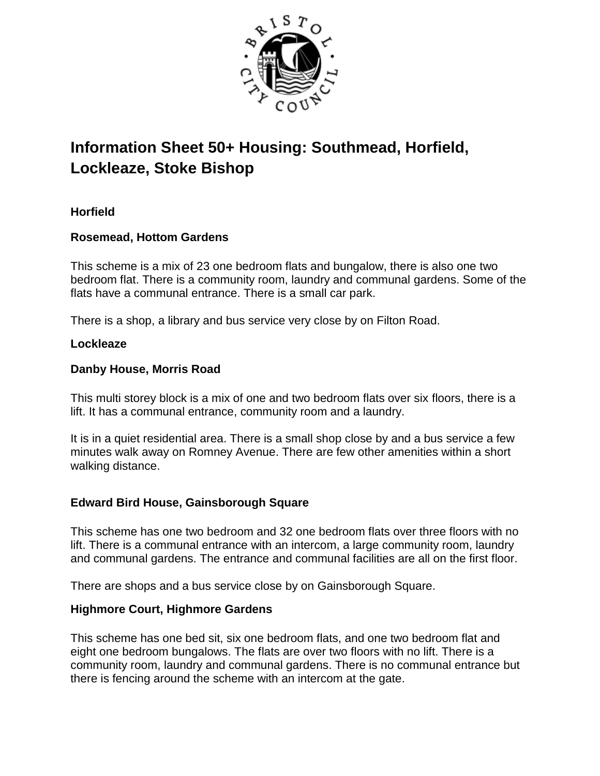

# **Information Sheet 50+ Housing: Southmead, Horfield, Lockleaze, Stoke Bishop**

# **Horfield**

# **Rosemead, Hottom Gardens**

This scheme is a mix of 23 one bedroom flats and bungalow, there is also one two bedroom flat. There is a community room, laundry and communal gardens. Some of the flats have a communal entrance. There is a small car park.

There is a shop, a library and bus service very close by on Filton Road.

## **Lockleaze**

## **Danby House, Morris Road**

This multi storey block is a mix of one and two bedroom flats over six floors, there is a lift. It has a communal entrance, community room and a laundry.

It is in a quiet residential area. There is a small shop close by and a bus service a few minutes walk away on Romney Avenue. There are few other amenities within a short walking distance.

# **Edward Bird House, Gainsborough Square**

This scheme has one two bedroom and 32 one bedroom flats over three floors with no lift. There is a communal entrance with an intercom, a large community room, laundry and communal gardens. The entrance and communal facilities are all on the first floor.

There are shops and a bus service close by on Gainsborough Square.

# **Highmore Court, Highmore Gardens**

This scheme has one bed sit, six one bedroom flats, and one two bedroom flat and eight one bedroom bungalows. The flats are over two floors with no lift. There is a community room, laundry and communal gardens. There is no communal entrance but there is fencing around the scheme with an intercom at the gate.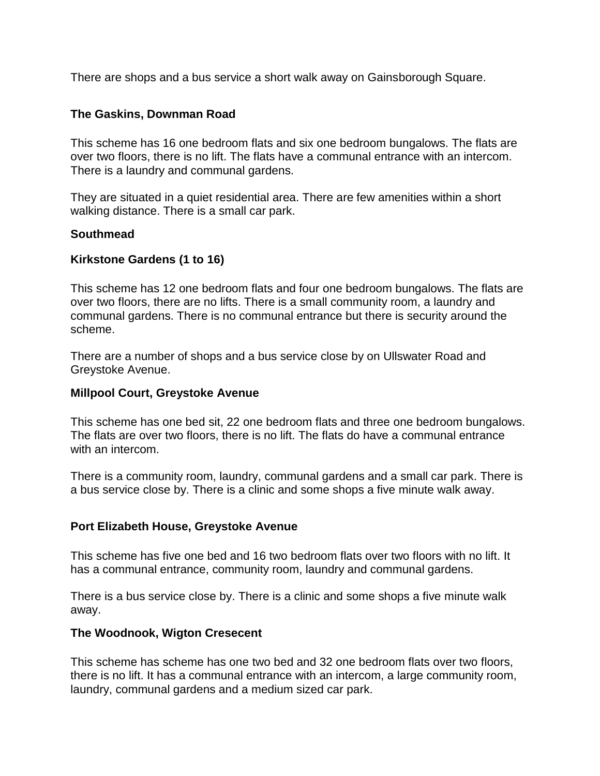There are shops and a bus service a short walk away on Gainsborough Square.

## **The Gaskins, Downman Road**

This scheme has 16 one bedroom flats and six one bedroom bungalows. The flats are over two floors, there is no lift. The flats have a communal entrance with an intercom. There is a laundry and communal gardens.

They are situated in a quiet residential area. There are few amenities within a short walking distance. There is a small car park.

#### **Southmead**

## **Kirkstone Gardens (1 to 16)**

This scheme has 12 one bedroom flats and four one bedroom bungalows. The flats are over two floors, there are no lifts. There is a small community room, a laundry and communal gardens. There is no communal entrance but there is security around the scheme.

There are a number of shops and a bus service close by on Ullswater Road and Greystoke Avenue.

#### **Millpool Court, Greystoke Avenue**

This scheme has one bed sit, 22 one bedroom flats and three one bedroom bungalows. The flats are over two floors, there is no lift. The flats do have a communal entrance with an intercom.

There is a community room, laundry, communal gardens and a small car park. There is a bus service close by. There is a clinic and some shops a five minute walk away.

#### **Port Elizabeth House, Greystoke Avenue**

This scheme has five one bed and 16 two bedroom flats over two floors with no lift. It has a communal entrance, community room, laundry and communal gardens.

There is a bus service close by. There is a clinic and some shops a five minute walk away.

#### **The Woodnook, Wigton Cresecent**

This scheme has scheme has one two bed and 32 one bedroom flats over two floors, there is no lift. It has a communal entrance with an intercom, a large community room, laundry, communal gardens and a medium sized car park.